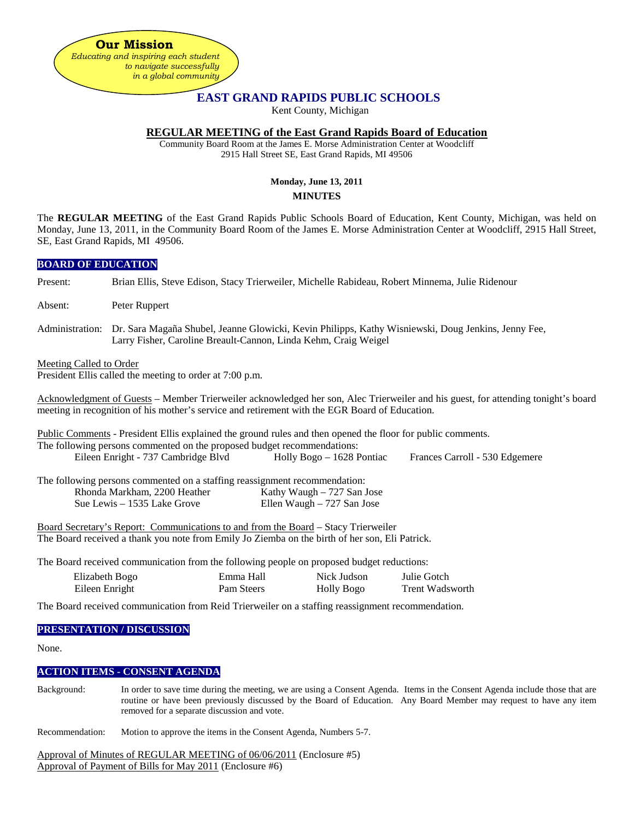**Our Mission** *Educating and inspiring each student to navigate successfully in a global community*

# **EAST GRAND RAPIDS PUBLIC SCHOOLS**

Kent County, Michigan

# **REGULAR MEETING of the East Grand Rapids Board of Education**

Community Board Room at the James E. Morse Administration Center at Woodcliff 2915 Hall Street SE, East Grand Rapids, MI 49506

# **Monday, June 13, 2011 MINUTES**

The **REGULAR MEETING** of the East Grand Rapids Public Schools Board of Education, Kent County, Michigan, was held on Monday, June 13, 2011, in the Community Board Room of the James E. Morse Administration Center at Woodcliff, 2915 Hall Street, SE, East Grand Rapids, MI 49506.

# **BOARD OF EDUCATION** Present: Brian Ellis, Steve Edison, Stacy Trierweiler, Michelle Rabideau, Robert Minnema, Julie Ridenour Absent: Peter Ruppert Administration: Dr. Sara Magaña Shubel, Jeanne Glowicki, Kevin Philipps, Kathy Wisniewski, Doug Jenkins, Jenny Fee, Larry Fisher, Caroline Breault-Cannon, Linda Kehm, Craig Weigel Meeting Called to Order President Ellis called the meeting to order at 7:00 p.m. Acknowledgment of Guests – Member Trierweiler acknowledged her son, Alec Trierweiler and his guest, for attending tonight's board meeting in recognition of his mother's service and retirement with the EGR Board of Education. Public Comments - President Ellis explained the ground rules and then opened the floor for public comments. The following persons commented on the proposed budget recommendations: Eileen Enright - 737 Cambridge Blvd Holly Bogo – 1628 Pontiac Frances Carroll - 530 Edgemere The following persons commented on a staffing reassignment recommendation: Rhonda Markham, 2200 Heather Kathy Waugh – 727 San Jose<br>Sue Lewis – 1535 Lake Grove Ellen Waugh – 727 San Jose Ellen Waugh – 727 San Jose Board Secretary's Report: Communications to and from the Board – Stacy Trierweiler The Board received a thank you note from Emily Jo Ziemba on the birth of her son, Eli Patrick.

The Board received communication from the following people on proposed budget reductions:

| Elizabeth Bogo | Emma Hall  | Nick Judson | Julie Gotch            |
|----------------|------------|-------------|------------------------|
| Eileen Enright | Pam Steers | Holly Bogo  | <b>Trent Wadsworth</b> |

The Board received communication from Reid Trierweiler on a staffing reassignment recommendation.

#### **PRESENTATION / DISCUSSION**

None.

# **ACTION ITEMS - CONSENT AGENDA**

- Background: In order to save time during the meeting, we are using a Consent Agenda. Items in the Consent Agenda include those that are routine or have been previously discussed by the Board of Education. Any Board Member may request to have any item removed for a separate discussion and vote.
- Recommendation: Motion to approve the items in the Consent Agenda, Numbers 5-7.

Approval of Minutes of REGULAR MEETING of 06/06/2011 (Enclosure #5) Approval of Payment of Bills for May 2011 (Enclosure #6)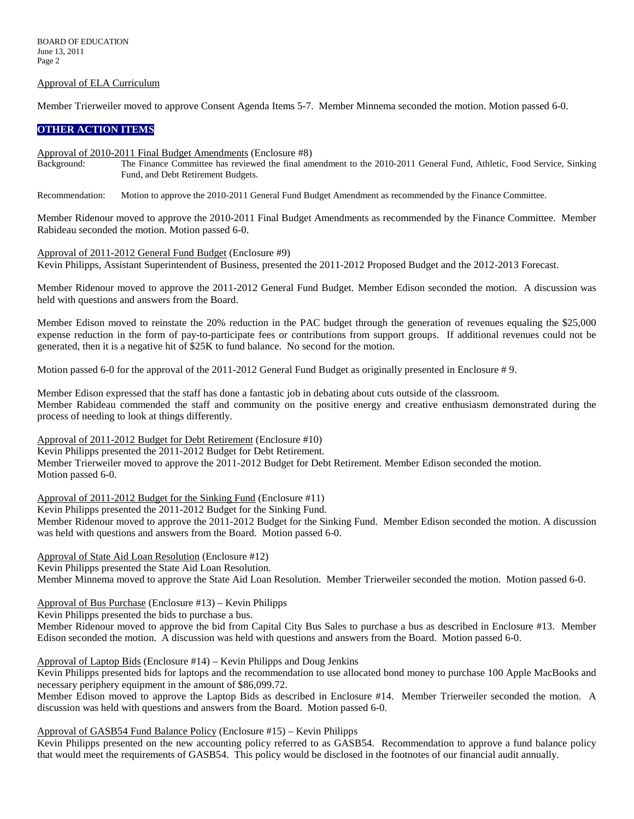#### Approval of ELA Curriculum

Member Trierweiler moved to approve Consent Agenda Items 5-7. Member Minnema seconded the motion. Motion passed 6-0.

# **OTHER ACTION ITEMS**

Approval of 2010-2011 Final Budget Amendments (Enclosure #8)<br>Background: The Finance Committee has reviewed the final an

The Finance Committee has reviewed the final amendment to the 2010-2011 General Fund, Athletic, Food Service, Sinking Fund, and Debt Retirement Budgets.

Recommendation: Motion to approve the 2010-2011 General Fund Budget Amendment as recommended by the Finance Committee.

Member Ridenour moved to approve the 2010-2011 Final Budget Amendments as recommended by the Finance Committee. Member Rabideau seconded the motion. Motion passed 6-0.

Approval of 2011-2012 General Fund Budget (Enclosure #9)

Kevin Philipps, Assistant Superintendent of Business, presented the 2011-2012 Proposed Budget and the 2012-2013 Forecast.

Member Ridenour moved to approve the 2011-2012 General Fund Budget. Member Edison seconded the motion. A discussion was held with questions and answers from the Board.

Member Edison moved to reinstate the 20% reduction in the PAC budget through the generation of revenues equaling the \$25,000 expense reduction in the form of pay-to-participate fees or contributions from support groups. If additional revenues could not be generated, then it is a negative hit of \$25K to fund balance. No second for the motion.

Motion passed 6-0 for the approval of the 2011-2012 General Fund Budget as originally presented in Enclosure # 9.

Member Edison expressed that the staff has done a fantastic job in debating about cuts outside of the classroom. Member Rabideau commended the staff and community on the positive energy and creative enthusiasm demonstrated during the process of needing to look at things differently.

Approval of 2011-2012 Budget for Debt Retirement (Enclosure #10) Kevin Philipps presented the 2011-2012 Budget for Debt Retirement. Member Trierweiler moved to approve the 2011-2012 Budget for Debt Retirement. Member Edison seconded the motion. Motion passed 6-0.

Approval of 2011-2012 Budget for the Sinking Fund (Enclosure #11)

Kevin Philipps presented the 2011-2012 Budget for the Sinking Fund.

Member Ridenour moved to approve the 2011-2012 Budget for the Sinking Fund. Member Edison seconded the motion. A discussion was held with questions and answers from the Board. Motion passed 6-0.

Approval of State Aid Loan Resolution (Enclosure #12) Kevin Philipps presented the State Aid Loan Resolution. Member Minnema moved to approve the State Aid Loan Resolution. Member Trierweiler seconded the motion. Motion passed 6-0.

Approval of Bus Purchase (Enclosure #13) – Kevin Philipps

Kevin Philipps presented the bids to purchase a bus.

Member Ridenour moved to approve the bid from Capital City Bus Sales to purchase a bus as described in Enclosure #13. Member Edison seconded the motion. A discussion was held with questions and answers from the Board. Motion passed 6-0.

Approval of Laptop Bids (Enclosure #14) – Kevin Philipps and Doug Jenkins

Kevin Philipps presented bids for laptops and the recommendation to use allocated bond money to purchase 100 Apple MacBooks and necessary periphery equipment in the amount of \$86,099.72.

Member Edison moved to approve the Laptop Bids as described in Enclosure #14. Member Trierweiler seconded the motion. A discussion was held with questions and answers from the Board. Motion passed 6-0.

Approval of GASB54 Fund Balance Policy (Enclosure #15) – Kevin Philipps

Kevin Philipps presented on the new accounting policy referred to as GASB54. Recommendation to approve a fund balance policy that would meet the requirements of GASB54. This policy would be disclosed in the footnotes of our financial audit annually.